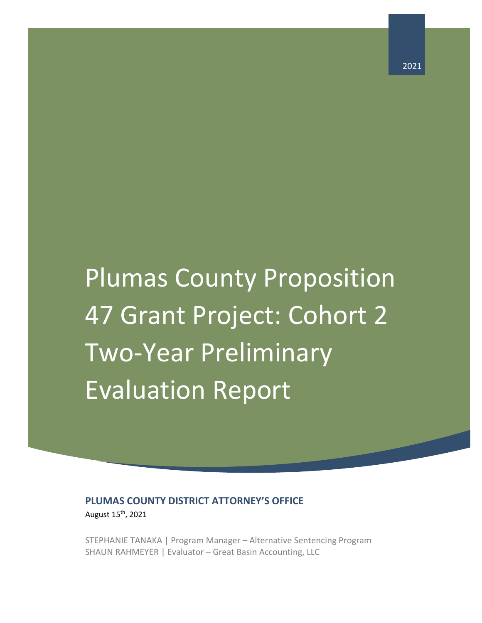Plumas County Proposition 47 Grant Project: Cohort 2 Two-Year Preliminary Evaluation Report

### **PLUMAS COUNTY DISTRICT ATTORNEY'S OFFICE**

August 15th, 2021

STEPHANIE TANAKA | Program Manager – Alternative Sentencing Program SHAUN RAHMEYER | Evaluator – Great Basin Accounting, LLC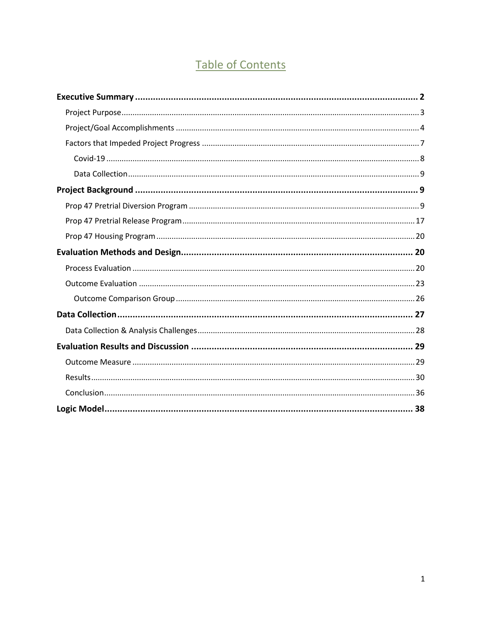# Table of Contents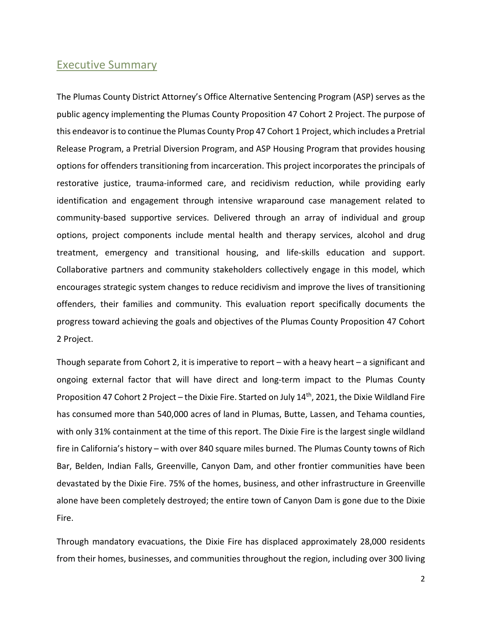## <span id="page-2-0"></span>Executive Summary

The Plumas County District Attorney's Office Alternative Sentencing Program (ASP) serves as the public agency implementing the Plumas County Proposition 47 Cohort 2 Project. The purpose of this endeavor is to continue the Plumas County Prop 47 Cohort 1 Project, which includes a Pretrial Release Program, a Pretrial Diversion Program, and ASP Housing Program that provides housing options for offenders transitioning from incarceration. This project incorporates the principals of restorative justice, trauma-informed care, and recidivism reduction, while providing early identification and engagement through intensive wraparound case management related to community-based supportive services. Delivered through an array of individual and group options, project components include mental health and therapy services, alcohol and drug treatment, emergency and transitional housing, and life-skills education and support. Collaborative partners and community stakeholders collectively engage in this model, which encourages strategic system changes to reduce recidivism and improve the lives of transitioning offenders, their families and community. This evaluation report specifically documents the progress toward achieving the goals and objectives of the Plumas County Proposition 47 Cohort 2 Project.

Though separate from Cohort 2, it is imperative to report – with a heavy heart – a significant and ongoing external factor that will have direct and long-term impact to the Plumas County Proposition 47 Cohort 2 Project – the Dixie Fire. Started on July 14<sup>th</sup>, 2021, the Dixie Wildland Fire has consumed more than 540,000 acres of land in Plumas, Butte, Lassen, and Tehama counties, with only 31% containment at the time of this report. The Dixie Fire is the largest single wildland fire in California's history – with over 840 square miles burned. The Plumas County towns of Rich Bar, Belden, Indian Falls, Greenville, Canyon Dam, and other frontier communities have been devastated by the Dixie Fire. 75% of the homes, business, and other infrastructure in Greenville alone have been completely destroyed; the entire town of Canyon Dam is gone due to the Dixie Fire.

Through mandatory evacuations, the Dixie Fire has displaced approximately 28,000 residents from their homes, businesses, and communities throughout the region, including over 300 living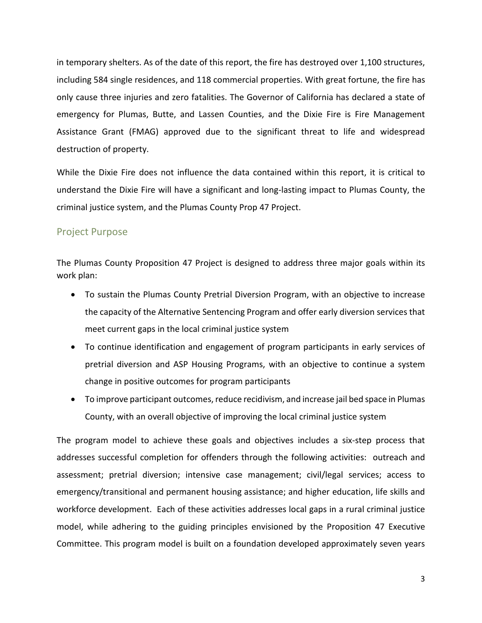in temporary shelters. As of the date of this report, the fire has destroyed over 1,100 structures, including 584 single residences, and 118 commercial properties. With great fortune, the fire has only cause three injuries and zero fatalities. The Governor of California has declared a state of emergency for Plumas, Butte, and Lassen Counties, and the Dixie Fire is Fire Management Assistance Grant (FMAG) approved due to the significant threat to life and widespread destruction of property.

While the Dixie Fire does not influence the data contained within this report, it is critical to understand the Dixie Fire will have a significant and long-lasting impact to Plumas County, the criminal justice system, and the Plumas County Prop 47 Project.

### <span id="page-3-0"></span>Project Purpose

The Plumas County Proposition 47 Project is designed to address three major goals within its work plan:

- To sustain the Plumas County Pretrial Diversion Program, with an objective to increase the capacity of the Alternative Sentencing Program and offer early diversion services that meet current gaps in the local criminal justice system
- To continue identification and engagement of program participants in early services of pretrial diversion and ASP Housing Programs, with an objective to continue a system change in positive outcomes for program participants
- To improve participant outcomes, reduce recidivism, and increase jail bed space in Plumas County, with an overall objective of improving the local criminal justice system

The program model to achieve these goals and objectives includes a six-step process that addresses successful completion for offenders through the following activities: outreach and assessment; pretrial diversion; intensive case management; civil/legal services; access to emergency/transitional and permanent housing assistance; and higher education, life skills and workforce development. Each of these activities addresses local gaps in a rural criminal justice model, while adhering to the guiding principles envisioned by the Proposition 47 Executive Committee. This program model is built on a foundation developed approximately seven years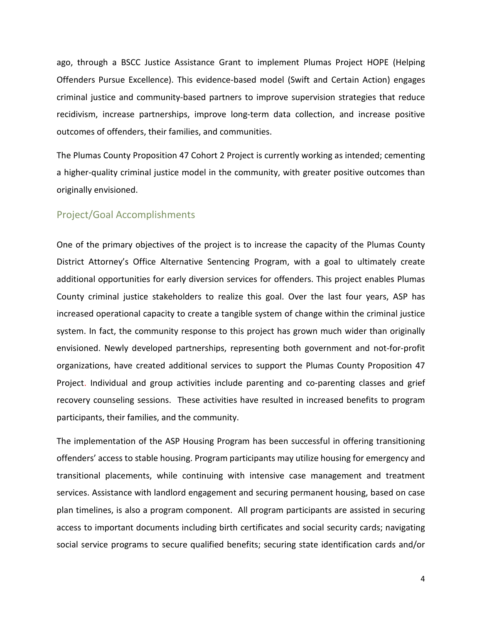ago, through a BSCC Justice Assistance Grant to implement Plumas Project HOPE (Helping Offenders Pursue Excellence). This evidence-based model (Swift and Certain Action) engages criminal justice and community-based partners to improve supervision strategies that reduce recidivism, increase partnerships, improve long-term data collection, and increase positive outcomes of offenders, their families, and communities.

The Plumas County Proposition 47 Cohort 2 Project is currently working as intended; cementing a higher-quality criminal justice model in the community, with greater positive outcomes than originally envisioned.

#### <span id="page-4-0"></span>Project/Goal Accomplishments

One of the primary objectives of the project is to increase the capacity of the Plumas County District Attorney's Office Alternative Sentencing Program, with a goal to ultimately create additional opportunities for early diversion services for offenders. This project enables Plumas County criminal justice stakeholders to realize this goal. Over the last four years, ASP has increased operational capacity to create a tangible system of change within the criminal justice system. In fact, the community response to this project has grown much wider than originally envisioned. Newly developed partnerships, representing both government and not-for-profit organizations, have created additional services to support the Plumas County Proposition 47 Project. Individual and group activities include parenting and co-parenting classes and grief recovery counseling sessions. These activities have resulted in increased benefits to program participants, their families, and the community.

The implementation of the ASP Housing Program has been successful in offering transitioning offenders' access to stable housing. Program participants may utilize housing for emergency and transitional placements, while continuing with intensive case management and treatment services. Assistance with landlord engagement and securing permanent housing, based on case plan timelines, is also a program component. All program participants are assisted in securing access to important documents including birth certificates and social security cards; navigating social service programs to secure qualified benefits; securing state identification cards and/or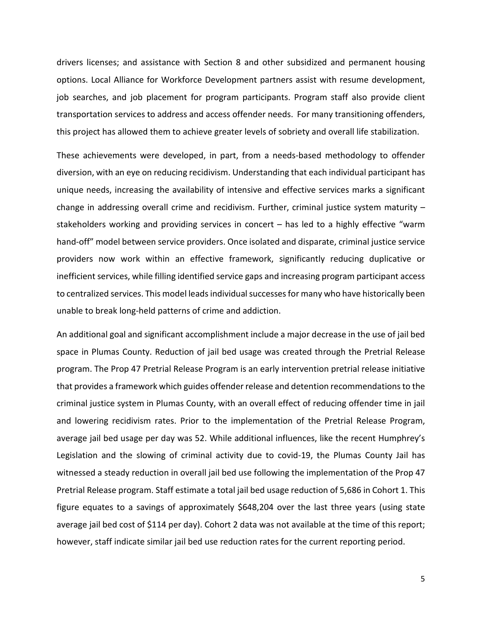drivers licenses; and assistance with Section 8 and other subsidized and permanent housing options. Local Alliance for Workforce Development partners assist with resume development, job searches, and job placement for program participants. Program staff also provide client transportation services to address and access offender needs. For many transitioning offenders, this project has allowed them to achieve greater levels of sobriety and overall life stabilization.

These achievements were developed, in part, from a needs-based methodology to offender diversion, with an eye on reducing recidivism. Understanding that each individual participant has unique needs, increasing the availability of intensive and effective services marks a significant change in addressing overall crime and recidivism. Further, criminal justice system maturity – stakeholders working and providing services in concert – has led to a highly effective "warm hand-off" model between service providers. Once isolated and disparate, criminal justice service providers now work within an effective framework, significantly reducing duplicative or inefficient services, while filling identified service gaps and increasing program participant access to centralized services. This model leads individual successes for many who have historically been unable to break long-held patterns of crime and addiction.

An additional goal and significant accomplishment include a major decrease in the use of jail bed space in Plumas County. Reduction of jail bed usage was created through the Pretrial Release program. The Prop 47 Pretrial Release Program is an early intervention pretrial release initiative that provides a framework which guides offender release and detention recommendations to the criminal justice system in Plumas County, with an overall effect of reducing offender time in jail and lowering recidivism rates. Prior to the implementation of the Pretrial Release Program, average jail bed usage per day was 52. While additional influences, like the recent Humphrey's Legislation and the slowing of criminal activity due to covid-19, the Plumas County Jail has witnessed a steady reduction in overall jail bed use following the implementation of the Prop 47 Pretrial Release program. Staff estimate a total jail bed usage reduction of 5,686 in Cohort 1. This figure equates to a savings of approximately \$648,204 over the last three years (using state average jail bed cost of \$114 per day). Cohort 2 data was not available at the time of this report; however, staff indicate similar jail bed use reduction rates for the current reporting period.

5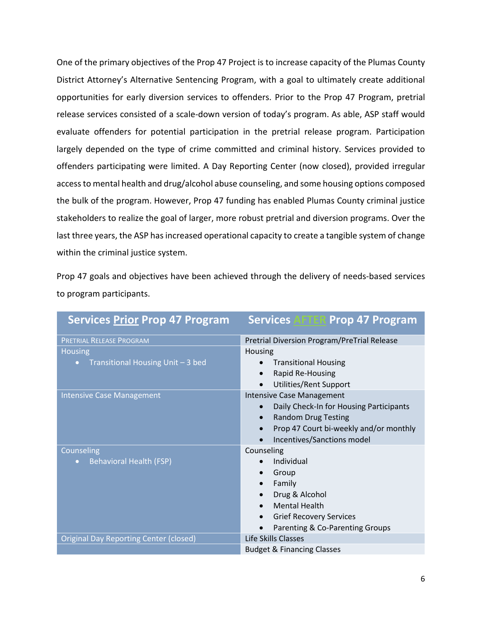One of the primary objectives of the Prop 47 Project is to increase capacity of the Plumas County District Attorney's Alternative Sentencing Program, with a goal to ultimately create additional opportunities for early diversion services to offenders. Prior to the Prop 47 Program, pretrial release services consisted of a scale-down version of today's program. As able, ASP staff would evaluate offenders for potential participation in the pretrial release program. Participation largely depended on the type of crime committed and criminal history. Services provided to offenders participating were limited. A Day Reporting Center (now closed), provided irregular access to mental health and drug/alcohol abuse counseling, and some housing options composed the bulk of the program. However, Prop 47 funding has enabled Plumas County criminal justice stakeholders to realize the goal of larger, more robust pretrial and diversion programs. Over the last three years, the ASP has increased operational capacity to create a tangible system of change within the criminal justice system.

Prop 47 goals and objectives have been achieved through the delivery of needs-based services to program participants.

| <b>Services Prior Prop 47 Program</b>         | <b>Services</b><br><b>Prop 47 Program</b>   |  |  |
|-----------------------------------------------|---------------------------------------------|--|--|
| PRETRIAL RELEASE PROGRAM                      | Pretrial Diversion Program/PreTrial Release |  |  |
| <b>Housing</b>                                | Housing                                     |  |  |
| Transitional Housing Unit - 3 bed             | <b>Transitional Housing</b>                 |  |  |
|                                               | Rapid Re-Housing<br>$\bullet$               |  |  |
|                                               | Utilities/Rent Support                      |  |  |
| <b>Intensive Case Management</b>              | <b>Intensive Case Management</b>            |  |  |
|                                               | Daily Check-In for Housing Participants     |  |  |
|                                               | <b>Random Drug Testing</b><br>$\bullet$     |  |  |
|                                               | Prop 47 Court bi-weekly and/or monthly      |  |  |
|                                               | Incentives/Sanctions model                  |  |  |
| Counseling                                    | Counseling                                  |  |  |
| <b>Behavioral Health (FSP)</b>                | Individual                                  |  |  |
|                                               | Group                                       |  |  |
|                                               | Family<br>$\bullet$                         |  |  |
|                                               | Drug & Alcohol                              |  |  |
|                                               | <b>Mental Health</b><br>$\bullet$           |  |  |
|                                               | <b>Grief Recovery Services</b>              |  |  |
|                                               | Parenting & Co-Parenting Groups             |  |  |
| <b>Original Day Reporting Center (closed)</b> | Life Skills Classes                         |  |  |
|                                               | <b>Budget &amp; Financing Classes</b>       |  |  |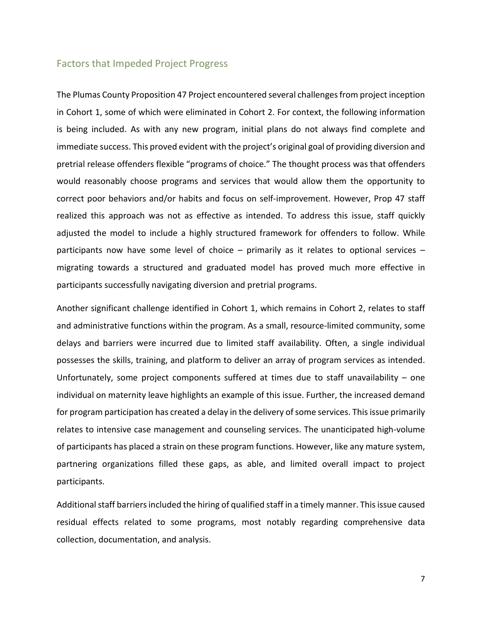#### <span id="page-7-0"></span>Factors that Impeded Project Progress

The Plumas County Proposition 47 Project encountered several challenges from project inception in Cohort 1, some of which were eliminated in Cohort 2. For context, the following information is being included. As with any new program, initial plans do not always find complete and immediate success. This proved evident with the project's original goal of providing diversion and pretrial release offenders flexible "programs of choice." The thought process was that offenders would reasonably choose programs and services that would allow them the opportunity to correct poor behaviors and/or habits and focus on self-improvement. However, Prop 47 staff realized this approach was not as effective as intended. To address this issue, staff quickly adjusted the model to include a highly structured framework for offenders to follow. While participants now have some level of choice  $-$  primarily as it relates to optional services  $$ migrating towards a structured and graduated model has proved much more effective in participants successfully navigating diversion and pretrial programs.

Another significant challenge identified in Cohort 1, which remains in Cohort 2, relates to staff and administrative functions within the program. As a small, resource-limited community, some delays and barriers were incurred due to limited staff availability. Often, a single individual possesses the skills, training, and platform to deliver an array of program services as intended. Unfortunately, some project components suffered at times due to staff unavailability – one individual on maternity leave highlights an example of this issue. Further, the increased demand for program participation has created a delay in the delivery of some services. This issue primarily relates to intensive case management and counseling services. The unanticipated high-volume of participants has placed a strain on these program functions. However, like any mature system, partnering organizations filled these gaps, as able, and limited overall impact to project participants.

Additional staff barriers included the hiring of qualified staff in a timely manner. This issue caused residual effects related to some programs, most notably regarding comprehensive data collection, documentation, and analysis.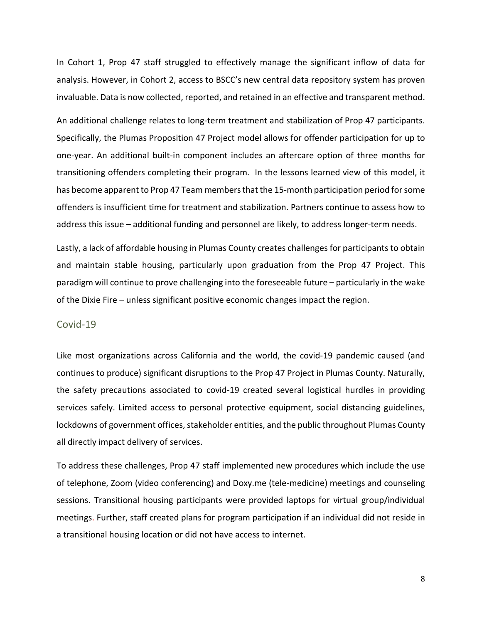In Cohort 1, Prop 47 staff struggled to effectively manage the significant inflow of data for analysis. However, in Cohort 2, access to BSCC's new central data repository system has proven invaluable. Data is now collected, reported, and retained in an effective and transparent method.

An additional challenge relates to long-term treatment and stabilization of Prop 47 participants. Specifically, the Plumas Proposition 47 Project model allows for offender participation for up to one-year. An additional built-in component includes an aftercare option of three months for transitioning offenders completing their program. In the lessons learned view of this model, it has become apparent to Prop 47 Team members that the 15-month participation period for some offenders is insufficient time for treatment and stabilization. Partners continue to assess how to address this issue – additional funding and personnel are likely, to address longer-term needs.

Lastly, a lack of affordable housing in Plumas County creates challenges for participants to obtain and maintain stable housing, particularly upon graduation from the Prop 47 Project. This paradigm will continue to prove challenging into the foreseeable future – particularly in the wake of the Dixie Fire – unless significant positive economic changes impact the region.

#### <span id="page-8-0"></span>Covid-19

Like most organizations across California and the world, the covid-19 pandemic caused (and continues to produce) significant disruptions to the Prop 47 Project in Plumas County. Naturally, the safety precautions associated to covid-19 created several logistical hurdles in providing services safely. Limited access to personal protective equipment, social distancing guidelines, lockdowns of government offices, stakeholder entities, and the public throughout Plumas County all directly impact delivery of services.

To address these challenges, Prop 47 staff implemented new procedures which include the use of telephone, Zoom (video conferencing) and Doxy.me (tele-medicine) meetings and counseling sessions. Transitional housing participants were provided laptops for virtual group/individual meetings. Further, staff created plans for program participation if an individual did not reside in a transitional housing location or did not have access to internet.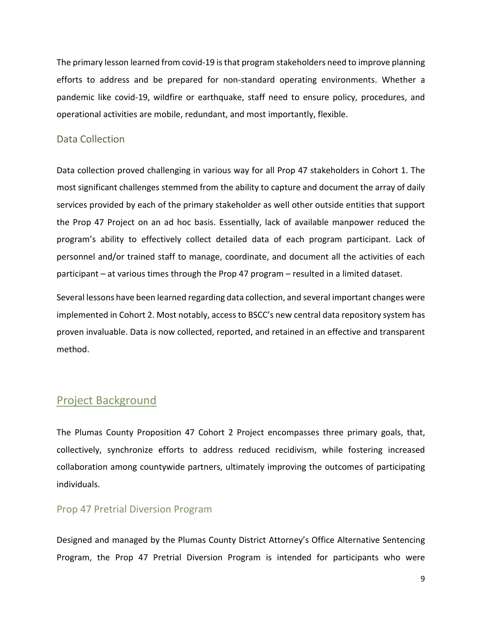The primary lesson learned from covid-19 is that program stakeholders need to improve planning efforts to address and be prepared for non-standard operating environments. Whether a pandemic like covid-19, wildfire or earthquake, staff need to ensure policy, procedures, and operational activities are mobile, redundant, and most importantly, flexible.

#### <span id="page-9-0"></span>Data Collection

Data collection proved challenging in various way for all Prop 47 stakeholders in Cohort 1. The most significant challenges stemmed from the ability to capture and document the array of daily services provided by each of the primary stakeholder as well other outside entities that support the Prop 47 Project on an ad hoc basis. Essentially, lack of available manpower reduced the program's ability to effectively collect detailed data of each program participant. Lack of personnel and/or trained staff to manage, coordinate, and document all the activities of each participant – at various times through the Prop 47 program – resulted in a limited dataset.

Several lessons have been learned regarding data collection, and several important changes were implemented in Cohort 2. Most notably, access to BSCC's new central data repository system has proven invaluable. Data is now collected, reported, and retained in an effective and transparent method.

## <span id="page-9-1"></span>Project Background

The Plumas County Proposition 47 Cohort 2 Project encompasses three primary goals, that, collectively, synchronize efforts to address reduced recidivism, while fostering increased collaboration among countywide partners, ultimately improving the outcomes of participating individuals.

#### <span id="page-9-2"></span>Prop 47 Pretrial Diversion Program

Designed and managed by the Plumas County District Attorney's Office Alternative Sentencing Program, the Prop 47 Pretrial Diversion Program is intended for participants who were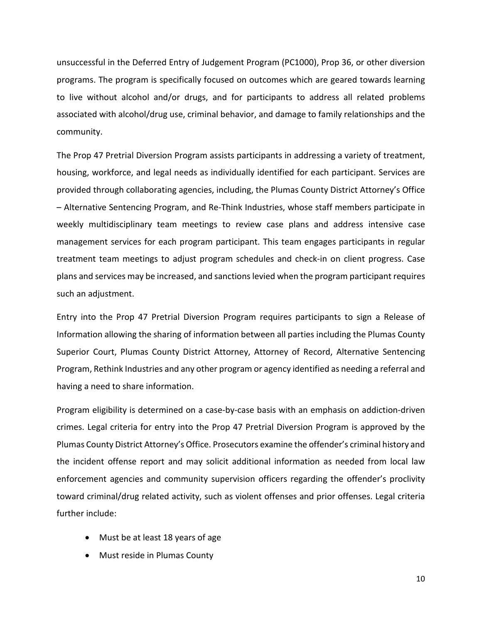unsuccessful in the Deferred Entry of Judgement Program (PC1000), Prop 36, or other diversion programs. The program is specifically focused on outcomes which are geared towards learning to live without alcohol and/or drugs, and for participants to address all related problems associated with alcohol/drug use, criminal behavior, and damage to family relationships and the community.

The Prop 47 Pretrial Diversion Program assists participants in addressing a variety of treatment, housing, workforce, and legal needs as individually identified for each participant. Services are provided through collaborating agencies, including, the Plumas County District Attorney's Office – Alternative Sentencing Program, and Re-Think Industries, whose staff members participate in weekly multidisciplinary team meetings to review case plans and address intensive case management services for each program participant. This team engages participants in regular treatment team meetings to adjust program schedules and check-in on client progress. Case plans and services may be increased, and sanctions levied when the program participant requires such an adjustment.

Entry into the Prop 47 Pretrial Diversion Program requires participants to sign a Release of Information allowing the sharing of information between all parties including the Plumas County Superior Court, Plumas County District Attorney, Attorney of Record, Alternative Sentencing Program, Rethink Industries and any other program or agency identified as needing a referral and having a need to share information.

Program eligibility is determined on a case-by-case basis with an emphasis on addiction-driven crimes. Legal criteria for entry into the Prop 47 Pretrial Diversion Program is approved by the Plumas County District Attorney's Office. Prosecutors examine the offender's criminal history and the incident offense report and may solicit additional information as needed from local law enforcement agencies and community supervision officers regarding the offender's proclivity toward criminal/drug related activity, such as violent offenses and prior offenses. Legal criteria further include:

- Must be at least 18 years of age
- Must reside in Plumas County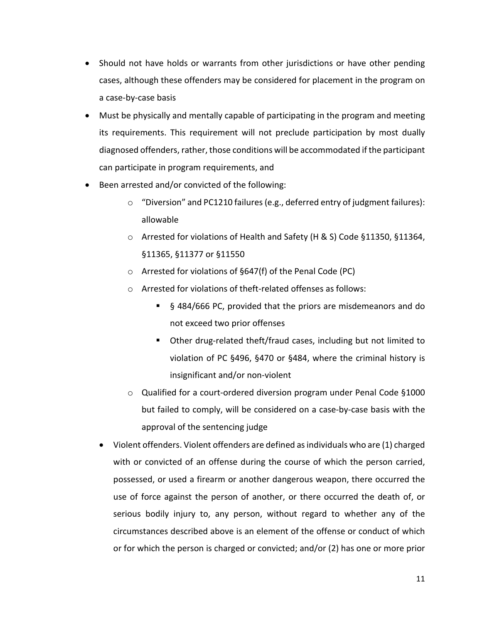- Should not have holds or warrants from other jurisdictions or have other pending cases, although these offenders may be considered for placement in the program on a case-by-case basis
- Must be physically and mentally capable of participating in the program and meeting its requirements. This requirement will not preclude participation by most dually diagnosed offenders, rather, those conditions will be accommodated if the participant can participate in program requirements, and
- Been arrested and/or convicted of the following:
	- $\circ$  "Diversion" and PC1210 failures (e.g., deferred entry of judgment failures): allowable
	- o Arrested for violations of Health and Safety (H & S) Code §11350, §11364, §11365, §11377 or §11550
	- o Arrested for violations of §647(f) of the Penal Code (PC)
	- o Arrested for violations of theft-related offenses as follows:
		- § 484/666 PC, provided that the priors are misdemeanors and do not exceed two prior offenses
		- Other drug-related theft/fraud cases, including but not limited to violation of PC §496, §470 or §484, where the criminal history is insignificant and/or non-violent
	- o Qualified for a court-ordered diversion program under Penal Code §1000 but failed to comply, will be considered on a case-by-case basis with the approval of the sentencing judge
	- Violent offenders. Violent offenders are defined as individuals who are (1) charged with or convicted of an offense during the course of which the person carried, possessed, or used a firearm or another dangerous weapon, there occurred the use of force against the person of another, or there occurred the death of, or serious bodily injury to, any person, without regard to whether any of the circumstances described above is an element of the offense or conduct of which or for which the person is charged or convicted; and/or (2) has one or more prior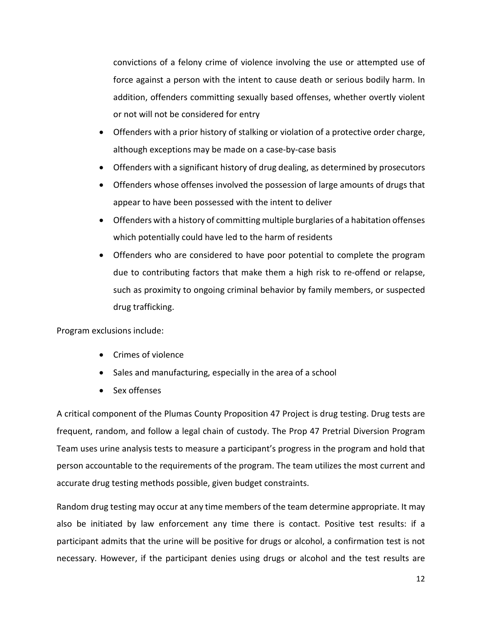convictions of a felony crime of violence involving the use or attempted use of force against a person with the intent to cause death or serious bodily harm. In addition, offenders committing sexually based offenses, whether overtly violent or not will not be considered for entry

- Offenders with a prior history of stalking or violation of a protective order charge, although exceptions may be made on a case-by-case basis
- Offenders with a significant history of drug dealing, as determined by prosecutors
- Offenders whose offenses involved the possession of large amounts of drugs that appear to have been possessed with the intent to deliver
- Offenders with a history of committing multiple burglaries of a habitation offenses which potentially could have led to the harm of residents
- Offenders who are considered to have poor potential to complete the program due to contributing factors that make them a high risk to re-offend or relapse, such as proximity to ongoing criminal behavior by family members, or suspected drug trafficking.

Program exclusions include:

- Crimes of violence
- Sales and manufacturing, especially in the area of a school
- Sex offenses

A critical component of the Plumas County Proposition 47 Project is drug testing. Drug tests are frequent, random, and follow a legal chain of custody. The Prop 47 Pretrial Diversion Program Team uses urine analysis tests to measure a participant's progress in the program and hold that person accountable to the requirements of the program. The team utilizes the most current and accurate drug testing methods possible, given budget constraints.

Random drug testing may occur at any time members of the team determine appropriate. It may also be initiated by law enforcement any time there is contact. Positive test results: if a participant admits that the urine will be positive for drugs or alcohol, a confirmation test is not necessary. However, if the participant denies using drugs or alcohol and the test results are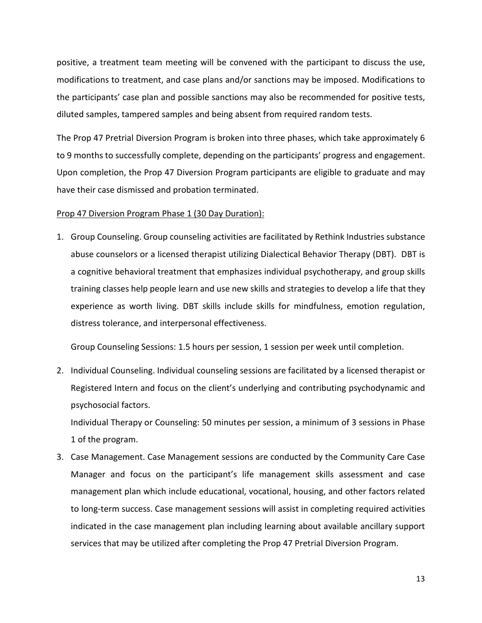positive, a treatment team meeting will be convened with the participant to discuss the use, modifications to treatment, and case plans and/or sanctions may be imposed. Modifications to the participants' case plan and possible sanctions may also be recommended for positive tests, diluted samples, tampered samples and being absent from required random tests.

The Prop 47 Pretrial Diversion Program is broken into three phases, which take approximately 6 to 9 months to successfully complete, depending on the participants' progress and engagement. Upon completion, the Prop 47 Diversion Program participants are eligible to graduate and may have their case dismissed and probation terminated.

#### Prop 47 Diversion Program Phase 1 (30 Day Duration):

1. Group Counseling. Group counseling activities are facilitated by Rethink Industries substance abuse counselors or a licensed therapist utilizing Dialectical Behavior Therapy (DBT). DBT is a cognitive behavioral treatment that emphasizes individual psychotherapy, and group skills training classes help people learn and use new skills and strategies to develop a life that they experience as worth living. DBT skills include skills for mindfulness, emotion regulation, distress tolerance, and interpersonal effectiveness.

Group Counseling Sessions: 1.5 hours per session, 1 session per week until completion.

2. Individual Counseling. Individual counseling sessions are facilitated by a licensed therapist or Registered Intern and focus on the client's underlying and contributing psychodynamic and psychosocial factors.

Individual Therapy or Counseling: 50 minutes per session, a minimum of 3 sessions in Phase 1 of the program.

3. Case Management. Case Management sessions are conducted by the Community Care Case Manager and focus on the participant's life management skills assessment and case management plan which include educational, vocational, housing, and other factors related to long-term success. Case management sessions will assist in completing required activities indicated in the case management plan including learning about available ancillary support services that may be utilized after completing the Prop 47 Pretrial Diversion Program.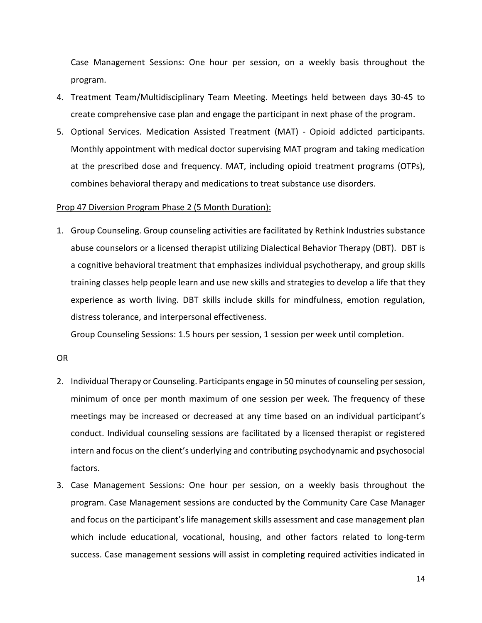Case Management Sessions: One hour per session, on a weekly basis throughout the program.

- 4. Treatment Team/Multidisciplinary Team Meeting. Meetings held between days 30-45 to create comprehensive case plan and engage the participant in next phase of the program.
- 5. Optional Services. Medication Assisted Treatment (MAT) Opioid addicted participants. Monthly appointment with medical doctor supervising MAT program and taking medication at the prescribed dose and frequency. MAT, including opioid treatment programs (OTPs), combines behavioral therapy and medications to treat substance use disorders.

#### Prop 47 Diversion Program Phase 2 (5 Month Duration):

1. Group Counseling. Group counseling activities are facilitated by Rethink Industries substance abuse counselors or a licensed therapist utilizing Dialectical Behavior Therapy (DBT). DBT is a cognitive behavioral treatment that emphasizes individual psychotherapy, and group skills training classes help people learn and use new skills and strategies to develop a life that they experience as worth living. DBT skills include skills for mindfulness, emotion regulation, distress tolerance, and interpersonal effectiveness.

Group Counseling Sessions: 1.5 hours per session, 1 session per week until completion.

OR

- 2. Individual Therapy or Counseling. Participants engage in 50 minutes of counseling per session, minimum of once per month maximum of one session per week. The frequency of these meetings may be increased or decreased at any time based on an individual participant's conduct. Individual counseling sessions are facilitated by a licensed therapist or registered intern and focus on the client's underlying and contributing psychodynamic and psychosocial factors.
- 3. Case Management Sessions: One hour per session, on a weekly basis throughout the program. Case Management sessions are conducted by the Community Care Case Manager and focus on the participant's life management skills assessment and case management plan which include educational, vocational, housing, and other factors related to long-term success. Case management sessions will assist in completing required activities indicated in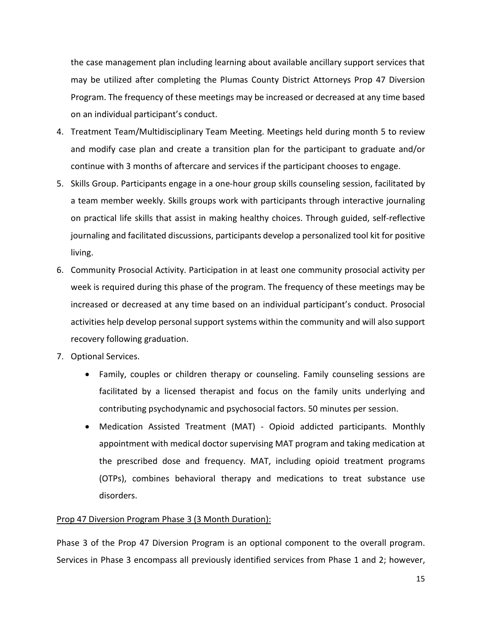the case management plan including learning about available ancillary support services that may be utilized after completing the Plumas County District Attorneys Prop 47 Diversion Program. The frequency of these meetings may be increased or decreased at any time based on an individual participant's conduct.

- 4. Treatment Team/Multidisciplinary Team Meeting. Meetings held during month 5 to review and modify case plan and create a transition plan for the participant to graduate and/or continue with 3 months of aftercare and services if the participant chooses to engage.
- 5. Skills Group. Participants engage in a one-hour group skills counseling session, facilitated by a team member weekly. Skills groups work with participants through interactive journaling on practical life skills that assist in making healthy choices. Through guided, self-reflective journaling and facilitated discussions, participants develop a personalized tool kit for positive living.
- 6. Community Prosocial Activity. Participation in at least one community prosocial activity per week is required during this phase of the program. The frequency of these meetings may be increased or decreased at any time based on an individual participant's conduct. Prosocial activities help develop personal support systems within the community and will also support recovery following graduation.
- 7. Optional Services.
	- Family, couples or children therapy or counseling. Family counseling sessions are facilitated by a licensed therapist and focus on the family units underlying and contributing psychodynamic and psychosocial factors. 50 minutes per session.
	- Medication Assisted Treatment (MAT) Opioid addicted participants. Monthly appointment with medical doctor supervising MAT program and taking medication at the prescribed dose and frequency. MAT, including opioid treatment programs (OTPs), combines behavioral therapy and medications to treat substance use disorders.

#### Prop 47 Diversion Program Phase 3 (3 Month Duration):

Phase 3 of the Prop 47 Diversion Program is an optional component to the overall program. Services in Phase 3 encompass all previously identified services from Phase 1 and 2; however,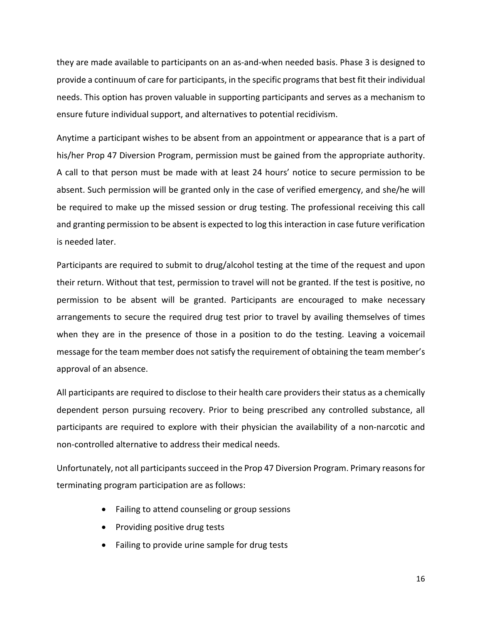they are made available to participants on an as-and-when needed basis. Phase 3 is designed to provide a continuum of care for participants, in the specific programs that best fit their individual needs. This option has proven valuable in supporting participants and serves as a mechanism to ensure future individual support, and alternatives to potential recidivism.

Anytime a participant wishes to be absent from an appointment or appearance that is a part of his/her Prop 47 Diversion Program, permission must be gained from the appropriate authority. A call to that person must be made with at least 24 hours' notice to secure permission to be absent. Such permission will be granted only in the case of verified emergency, and she/he will be required to make up the missed session or drug testing. The professional receiving this call and granting permission to be absent is expected to log this interaction in case future verification is needed later.

Participants are required to submit to drug/alcohol testing at the time of the request and upon their return. Without that test, permission to travel will not be granted. If the test is positive, no permission to be absent will be granted. Participants are encouraged to make necessary arrangements to secure the required drug test prior to travel by availing themselves of times when they are in the presence of those in a position to do the testing. Leaving a voicemail message for the team member does not satisfy the requirement of obtaining the team member's approval of an absence.

All participants are required to disclose to their health care providers their status as a chemically dependent person pursuing recovery. Prior to being prescribed any controlled substance, all participants are required to explore with their physician the availability of a non-narcotic and non-controlled alternative to address their medical needs.

Unfortunately, not all participants succeed in the Prop 47 Diversion Program. Primary reasons for terminating program participation are as follows:

- Failing to attend counseling or group sessions
- Providing positive drug tests
- Failing to provide urine sample for drug tests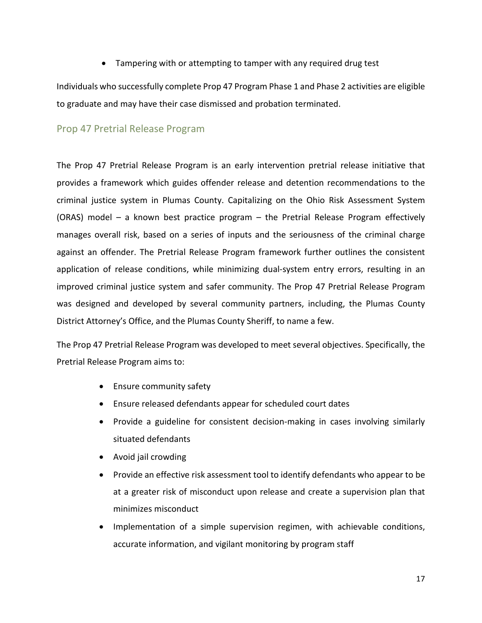• Tampering with or attempting to tamper with any required drug test

Individuals who successfully complete Prop 47 Program Phase 1 and Phase 2 activities are eligible to graduate and may have their case dismissed and probation terminated.

#### <span id="page-17-0"></span>Prop 47 Pretrial Release Program

The Prop 47 Pretrial Release Program is an early intervention pretrial release initiative that provides a framework which guides offender release and detention recommendations to the criminal justice system in Plumas County. Capitalizing on the Ohio Risk Assessment System (ORAS) model – a known best practice program – the Pretrial Release Program effectively manages overall risk, based on a series of inputs and the seriousness of the criminal charge against an offender. The Pretrial Release Program framework further outlines the consistent application of release conditions, while minimizing dual-system entry errors, resulting in an improved criminal justice system and safer community. The Prop 47 Pretrial Release Program was designed and developed by several community partners, including, the Plumas County District Attorney's Office, and the Plumas County Sheriff, to name a few.

The Prop 47 Pretrial Release Program was developed to meet several objectives. Specifically, the Pretrial Release Program aims to:

- Ensure community safety
- Ensure released defendants appear for scheduled court dates
- Provide a guideline for consistent decision-making in cases involving similarly situated defendants
- Avoid jail crowding
- Provide an effective risk assessment tool to identify defendants who appear to be at a greater risk of misconduct upon release and create a supervision plan that minimizes misconduct
- Implementation of a simple supervision regimen, with achievable conditions, accurate information, and vigilant monitoring by program staff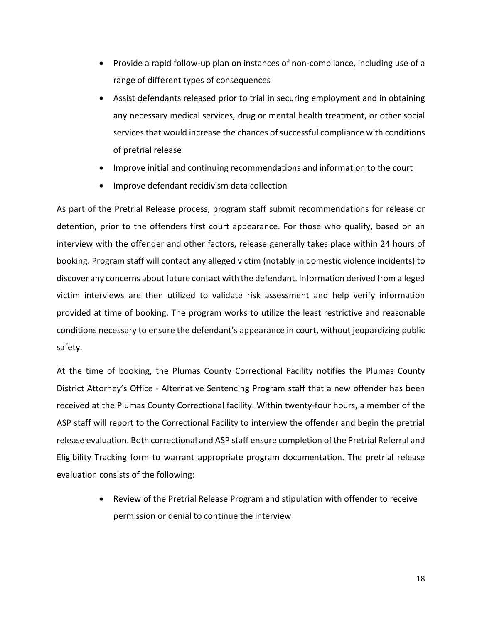- Provide a rapid follow-up plan on instances of non-compliance, including use of a range of different types of consequences
- Assist defendants released prior to trial in securing employment and in obtaining any necessary medical services, drug or mental health treatment, or other social services that would increase the chances of successful compliance with conditions of pretrial release
- Improve initial and continuing recommendations and information to the court
- Improve defendant recidivism data collection

As part of the Pretrial Release process, program staff submit recommendations for release or detention, prior to the offenders first court appearance. For those who qualify, based on an interview with the offender and other factors, release generally takes place within 24 hours of booking. Program staff will contact any alleged victim (notably in domestic violence incidents) to discover any concerns about future contact with the defendant. Information derived from alleged victim interviews are then utilized to validate risk assessment and help verify information provided at time of booking. The program works to utilize the least restrictive and reasonable conditions necessary to ensure the defendant's appearance in court, without jeopardizing public safety.

At the time of booking, the Plumas County Correctional Facility notifies the Plumas County District Attorney's Office - Alternative Sentencing Program staff that a new offender has been received at the Plumas County Correctional facility. Within twenty-four hours, a member of the ASP staff will report to the Correctional Facility to interview the offender and begin the pretrial release evaluation. Both correctional and ASP staff ensure completion of the Pretrial Referral and Eligibility Tracking form to warrant appropriate program documentation. The pretrial release evaluation consists of the following:

> • Review of the Pretrial Release Program and stipulation with offender to receive permission or denial to continue the interview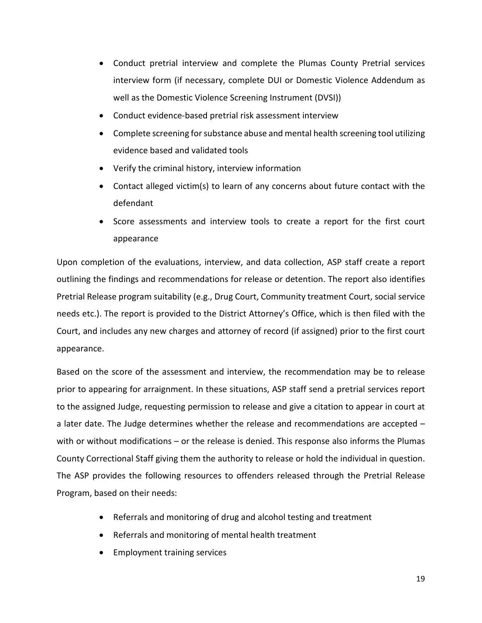- Conduct pretrial interview and complete the Plumas County Pretrial services interview form (if necessary, complete DUI or Domestic Violence Addendum as well as the Domestic Violence Screening Instrument (DVSI))
- Conduct evidence-based pretrial risk assessment interview
- Complete screening for substance abuse and mental health screening tool utilizing evidence based and validated tools
- Verify the criminal history, interview information
- Contact alleged victim(s) to learn of any concerns about future contact with the defendant
- Score assessments and interview tools to create a report for the first court appearance

Upon completion of the evaluations, interview, and data collection, ASP staff create a report outlining the findings and recommendations for release or detention. The report also identifies Pretrial Release program suitability (e.g., Drug Court, Community treatment Court, social service needs etc.). The report is provided to the District Attorney's Office, which is then filed with the Court, and includes any new charges and attorney of record (if assigned) prior to the first court appearance.

Based on the score of the assessment and interview, the recommendation may be to release prior to appearing for arraignment. In these situations, ASP staff send a pretrial services report to the assigned Judge, requesting permission to release and give a citation to appear in court at a later date. The Judge determines whether the release and recommendations are accepted – with or without modifications – or the release is denied. This response also informs the Plumas County Correctional Staff giving them the authority to release or hold the individual in question. The ASP provides the following resources to offenders released through the Pretrial Release Program, based on their needs:

- Referrals and monitoring of drug and alcohol testing and treatment
- Referrals and monitoring of mental health treatment
- Employment training services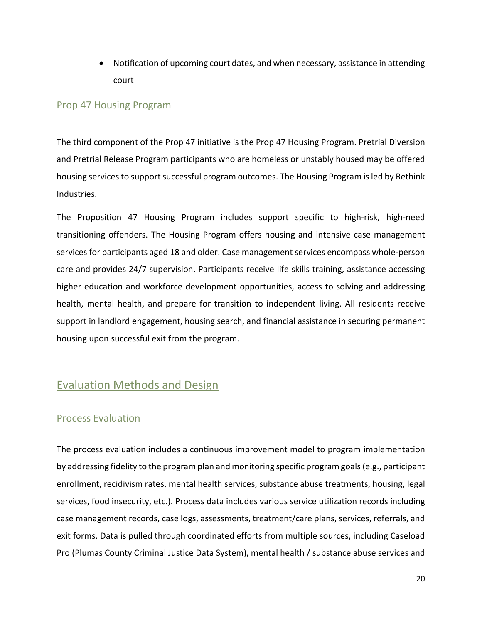• Notification of upcoming court dates, and when necessary, assistance in attending court

#### <span id="page-20-0"></span>Prop 47 Housing Program

The third component of the Prop 47 initiative is the Prop 47 Housing Program. Pretrial Diversion and Pretrial Release Program participants who are homeless or unstably housed may be offered housing services to support successful program outcomes. The Housing Program is led by Rethink Industries.

The Proposition 47 Housing Program includes support specific to high-risk, high-need transitioning offenders. The Housing Program offers housing and intensive case management services for participants aged 18 and older. Case management services encompass whole-person care and provides 24/7 supervision. Participants receive life skills training, assistance accessing higher education and workforce development opportunities, access to solving and addressing health, mental health, and prepare for transition to independent living. All residents receive support in landlord engagement, housing search, and financial assistance in securing permanent housing upon successful exit from the program.

## <span id="page-20-1"></span>Evaluation Methods and Design

#### <span id="page-20-2"></span>Process Evaluation

The process evaluation includes a continuous improvement model to program implementation by addressing fidelity to the program plan and monitoring specific program goals (e.g., participant enrollment, recidivism rates, mental health services, substance abuse treatments, housing, legal services, food insecurity, etc.). Process data includes various service utilization records including case management records, case logs, assessments, treatment/care plans, services, referrals, and exit forms. Data is pulled through coordinated efforts from multiple sources, including Caseload Pro (Plumas County Criminal Justice Data System), mental health / substance abuse services and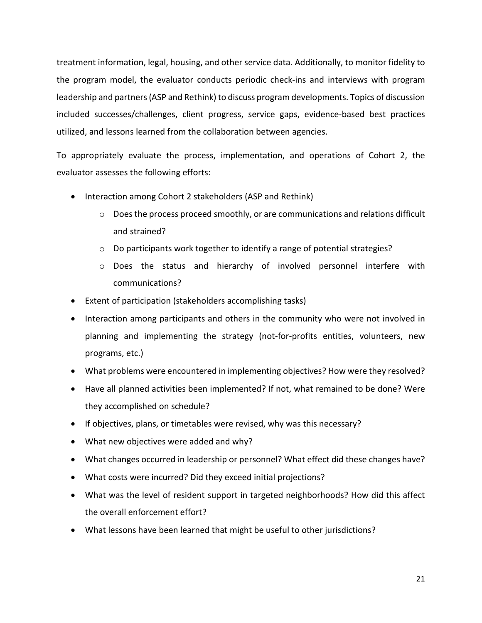treatment information, legal, housing, and other service data. Additionally, to monitor fidelity to the program model, the evaluator conducts periodic check-ins and interviews with program leadership and partners (ASP and Rethink) to discuss program developments. Topics of discussion included successes/challenges, client progress, service gaps, evidence-based best practices utilized, and lessons learned from the collaboration between agencies.

To appropriately evaluate the process, implementation, and operations of Cohort 2, the evaluator assesses the following efforts:

- Interaction among Cohort 2 stakeholders (ASP and Rethink)
	- $\circ$  Does the process proceed smoothly, or are communications and relations difficult and strained?
	- o Do participants work together to identify a range of potential strategies?
	- o Does the status and hierarchy of involved personnel interfere with communications?
- Extent of participation (stakeholders accomplishing tasks)
- Interaction among participants and others in the community who were not involved in planning and implementing the strategy (not-for-profits entities, volunteers, new programs, etc.)
- What problems were encountered in implementing objectives? How were they resolved?
- Have all planned activities been implemented? If not, what remained to be done? Were they accomplished on schedule?
- If objectives, plans, or timetables were revised, why was this necessary?
- What new objectives were added and why?
- What changes occurred in leadership or personnel? What effect did these changes have?
- What costs were incurred? Did they exceed initial projections?
- What was the level of resident support in targeted neighborhoods? How did this affect the overall enforcement effort?
- What lessons have been learned that might be useful to other jurisdictions?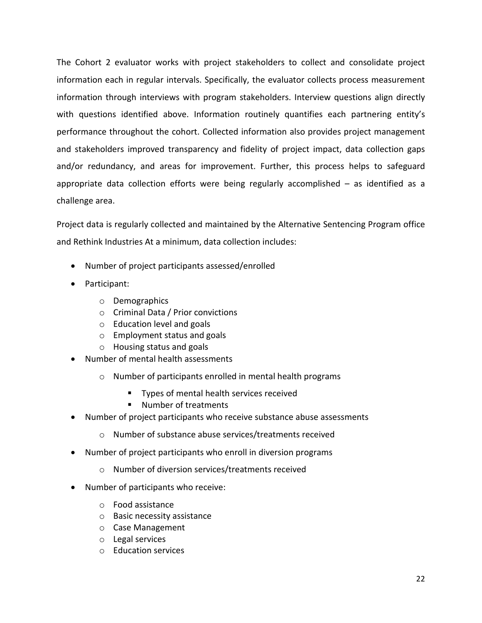The Cohort 2 evaluator works with project stakeholders to collect and consolidate project information each in regular intervals. Specifically, the evaluator collects process measurement information through interviews with program stakeholders. Interview questions align directly with questions identified above. Information routinely quantifies each partnering entity's performance throughout the cohort. Collected information also provides project management and stakeholders improved transparency and fidelity of project impact, data collection gaps and/or redundancy, and areas for improvement. Further, this process helps to safeguard appropriate data collection efforts were being regularly accomplished – as identified as a challenge area.

Project data is regularly collected and maintained by the Alternative Sentencing Program office and Rethink Industries At a minimum, data collection includes:

- Number of project participants assessed/enrolled
- Participant:
	- o Demographics
	- o Criminal Data / Prior convictions
	- o Education level and goals
	- o Employment status and goals
	- o Housing status and goals
- Number of mental health assessments
	- o Number of participants enrolled in mental health programs
		- **Types of mental health services received**
		- Number of treatments
- Number of project participants who receive substance abuse assessments
	- o Number of substance abuse services/treatments received
- Number of project participants who enroll in diversion programs
	- o Number of diversion services/treatments received
- Number of participants who receive:
	- o Food assistance
	- o Basic necessity assistance
	- o Case Management
	- o Legal services
	- o Education services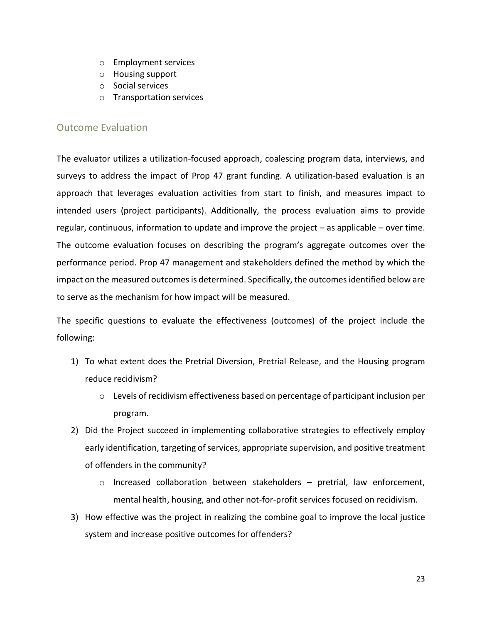- o Employment services
- o Housing support
- o Social services
- o Transportation services

### <span id="page-23-0"></span>Outcome Evaluation

The evaluator utilizes a utilization-focused approach, coalescing program data, interviews, and surveys to address the impact of Prop 47 grant funding. A utilization-based evaluation is an approach that leverages evaluation activities from start to finish, and measures impact to intended users (project participants). Additionally, the process evaluation aims to provide regular, continuous, information to update and improve the project – as applicable – over time. The outcome evaluation focuses on describing the program's aggregate outcomes over the performance period. Prop 47 management and stakeholders defined the method by which the impact on the measured outcomes is determined. Specifically, the outcomes identified below are to serve as the mechanism for how impact will be measured.

The specific questions to evaluate the effectiveness (outcomes) of the project include the following:

- 1) To what extent does the Pretrial Diversion, Pretrial Release, and the Housing program reduce recidivism?
	- $\circ$  Levels of recidivism effectiveness based on percentage of participant inclusion per program.
- 2) Did the Project succeed in implementing collaborative strategies to effectively employ early identification, targeting of services, appropriate supervision, and positive treatment of offenders in the community?
	- $\circ$  Increased collaboration between stakeholders pretrial, law enforcement, mental health, housing, and other not-for-profit services focused on recidivism.
- 3) How effective was the project in realizing the combine goal to improve the local justice system and increase positive outcomes for offenders?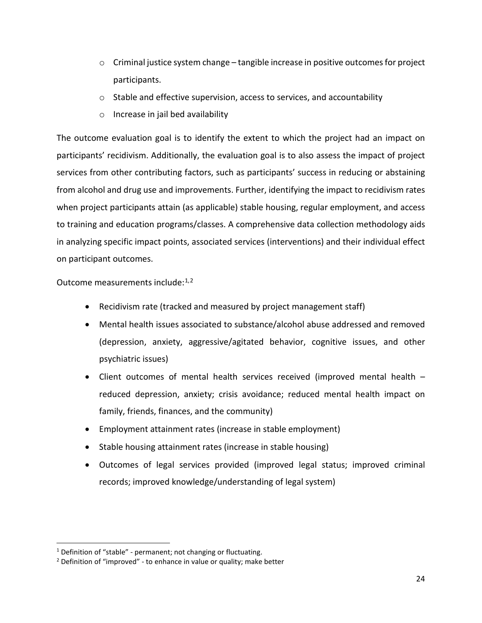- $\circ$  Criminal justice system change tangible increase in positive outcomes for project participants.
- $\circ$  Stable and effective supervision, access to services, and accountability
- o Increase in jail bed availability

The outcome evaluation goal is to identify the extent to which the project had an impact on participants' recidivism. Additionally, the evaluation goal is to also assess the impact of project services from other contributing factors, such as participants' success in reducing or abstaining from alcohol and drug use and improvements. Further, identifying the impact to recidivism rates when project participants attain (as applicable) stable housing, regular employment, and access to training and education programs/classes. A comprehensive data collection methodology aids in analyzing specific impact points, associated services (interventions) and their individual effect on participant outcomes.

Outcome measurements include:<sup>[1,](#page-24-0)[2](#page-24-1)</sup>

- Recidivism rate (tracked and measured by project management staff)
- Mental health issues associated to substance/alcohol abuse addressed and removed (depression, anxiety, aggressive/agitated behavior, cognitive issues, and other psychiatric issues)
- Client outcomes of mental health services received (improved mental health reduced depression, anxiety; crisis avoidance; reduced mental health impact on family, friends, finances, and the community)
- Employment attainment rates (increase in stable employment)
- Stable housing attainment rates (increase in stable housing)
- Outcomes of legal services provided (improved legal status; improved criminal records; improved knowledge/understanding of legal system)

<span id="page-24-0"></span><sup>&</sup>lt;sup>1</sup> Definition of "stable" - permanent; not changing or fluctuating.<br><sup>2</sup> Definition of "improved" - to enhance in value or quality; make better

<span id="page-24-1"></span>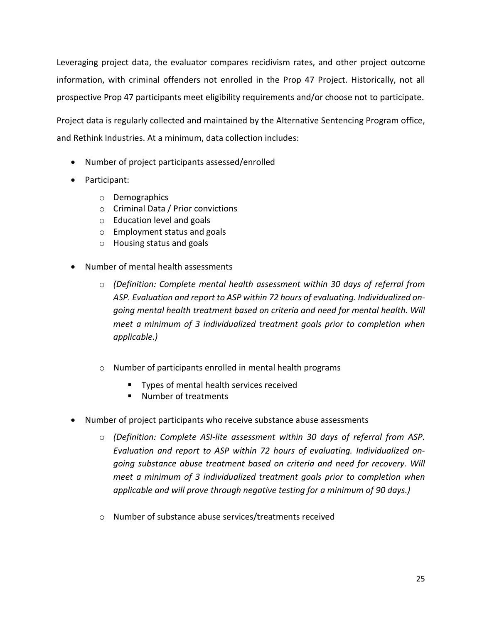Leveraging project data, the evaluator compares recidivism rates, and other project outcome information, with criminal offenders not enrolled in the Prop 47 Project. Historically, not all prospective Prop 47 participants meet eligibility requirements and/or choose not to participate.

Project data is regularly collected and maintained by the Alternative Sentencing Program office, and Rethink Industries. At a minimum, data collection includes:

- Number of project participants assessed/enrolled
- Participant:
	- o Demographics
	- o Criminal Data / Prior convictions
	- o Education level and goals
	- o Employment status and goals
	- o Housing status and goals
- Number of mental health assessments
	- o *(Definition: Complete mental health assessment within 30 days of referral from ASP. Evaluation and report to ASP within 72 hours of evaluating. Individualized ongoing mental health treatment based on criteria and need for mental health. Will meet a minimum of 3 individualized treatment goals prior to completion when applicable.)*
	- o Number of participants enrolled in mental health programs
		- Types of mental health services received
		- **Number of treatments**
- Number of project participants who receive substance abuse assessments
	- o *(Definition: Complete ASI-lite assessment within 30 days of referral from ASP. Evaluation and report to ASP within 72 hours of evaluating. Individualized ongoing substance abuse treatment based on criteria and need for recovery. Will meet a minimum of 3 individualized treatment goals prior to completion when applicable and will prove through negative testing for a minimum of 90 days.)*
	- o Number of substance abuse services/treatments received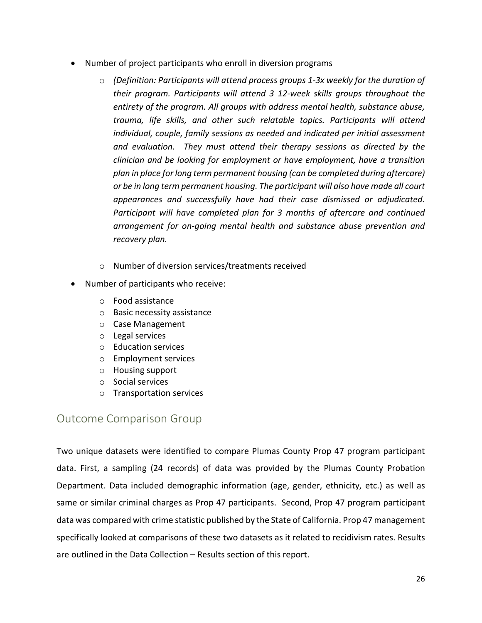- Number of project participants who enroll in diversion programs
	- o *(Definition: Participants will attend process groups 1-3x weekly for the duration of their program. Participants will attend 3 12-week skills groups throughout the entirety of the program. All groups with address mental health, substance abuse, trauma, life skills, and other such relatable topics. Participants will attend individual, couple, family sessions as needed and indicated per initial assessment and evaluation. They must attend their therapy sessions as directed by the clinician and be looking for employment or have employment, have a transition plan in place for long term permanent housing (can be completed during aftercare) or be in long term permanent housing. The participant will also have made all court appearances and successfully have had their case dismissed or adjudicated. Participant will have completed plan for 3 months of aftercare and continued arrangement for on-going mental health and substance abuse prevention and recovery plan.*
	- o Number of diversion services/treatments received
- Number of participants who receive:
	- o Food assistance
	- o Basic necessity assistance
	- o Case Management
	- o Legal services
	- o Education services
	- o Employment services
	- o Housing support
	- o Social services
	- o Transportation services

## <span id="page-26-0"></span>Outcome Comparison Group

Two unique datasets were identified to compare Plumas County Prop 47 program participant data. First, a sampling (24 records) of data was provided by the Plumas County Probation Department. Data included demographic information (age, gender, ethnicity, etc.) as well as same or similar criminal charges as Prop 47 participants. Second, Prop 47 program participant data was compared with crime statistic published by the State of California. Prop 47 management specifically looked at comparisons of these two datasets as it related to recidivism rates. Results are outlined in the Data Collection – Results section of this report.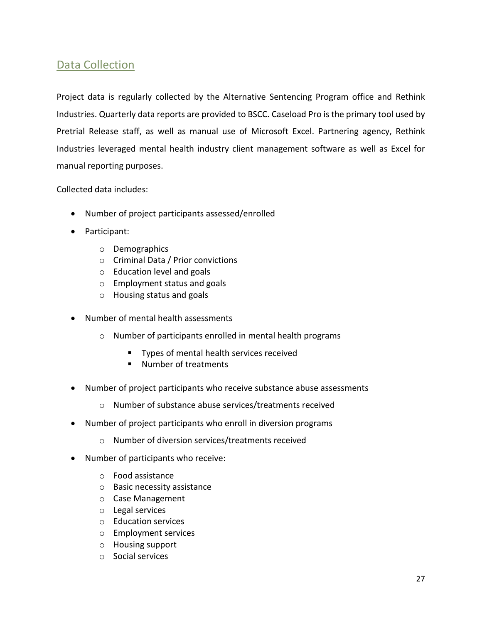## <span id="page-27-0"></span>Data Collection

Project data is regularly collected by the Alternative Sentencing Program office and Rethink Industries. Quarterly data reports are provided to BSCC. Caseload Pro is the primary tool used by Pretrial Release staff, as well as manual use of Microsoft Excel. Partnering agency, Rethink Industries leveraged mental health industry client management software as well as Excel for manual reporting purposes.

Collected data includes:

- Number of project participants assessed/enrolled
- Participant:
	- o Demographics
	- o Criminal Data / Prior convictions
	- o Education level and goals
	- o Employment status and goals
	- o Housing status and goals
- Number of mental health assessments
	- o Number of participants enrolled in mental health programs
		- **Types of mental health services received**
		- Number of treatments
- Number of project participants who receive substance abuse assessments
	- o Number of substance abuse services/treatments received
- Number of project participants who enroll in diversion programs
	- o Number of diversion services/treatments received
- Number of participants who receive:
	- o Food assistance
	- o Basic necessity assistance
	- o Case Management
	- o Legal services
	- o Education services
	- o Employment services
	- o Housing support
	- o Social services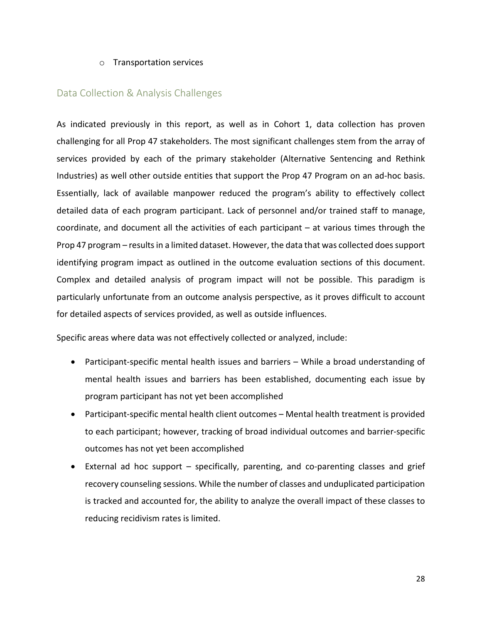#### o Transportation services

#### <span id="page-28-0"></span>Data Collection & Analysis Challenges

As indicated previously in this report, as well as in Cohort 1, data collection has proven challenging for all Prop 47 stakeholders. The most significant challenges stem from the array of services provided by each of the primary stakeholder (Alternative Sentencing and Rethink Industries) as well other outside entities that support the Prop 47 Program on an ad-hoc basis. Essentially, lack of available manpower reduced the program's ability to effectively collect detailed data of each program participant. Lack of personnel and/or trained staff to manage, coordinate, and document all the activities of each participant – at various times through the Prop 47 program – resultsin a limited dataset. However, the data that was collected does support identifying program impact as outlined in the outcome evaluation sections of this document. Complex and detailed analysis of program impact will not be possible. This paradigm is particularly unfortunate from an outcome analysis perspective, as it proves difficult to account for detailed aspects of services provided, as well as outside influences.

Specific areas where data was not effectively collected or analyzed, include:

- Participant-specific mental health issues and barriers While a broad understanding of mental health issues and barriers has been established, documenting each issue by program participant has not yet been accomplished
- Participant-specific mental health client outcomes Mental health treatment is provided to each participant; however, tracking of broad individual outcomes and barrier-specific outcomes has not yet been accomplished
- External ad hoc support specifically, parenting, and co-parenting classes and grief recovery counseling sessions. While the number of classes and unduplicated participation is tracked and accounted for, the ability to analyze the overall impact of these classes to reducing recidivism rates is limited.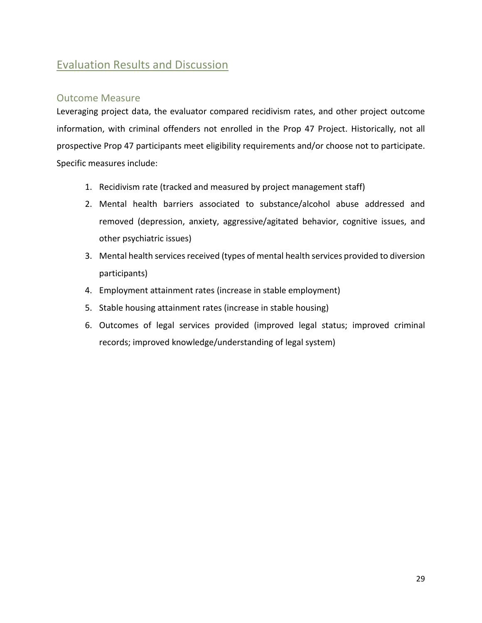## <span id="page-29-0"></span>Evaluation Results and Discussion

### <span id="page-29-1"></span>Outcome Measure

Leveraging project data, the evaluator compared recidivism rates, and other project outcome information, with criminal offenders not enrolled in the Prop 47 Project. Historically, not all prospective Prop 47 participants meet eligibility requirements and/or choose not to participate. Specific measures include:

- 1. Recidivism rate (tracked and measured by project management staff)
- 2. Mental health barriers associated to substance/alcohol abuse addressed and removed (depression, anxiety, aggressive/agitated behavior, cognitive issues, and other psychiatric issues)
- 3. Mental health services received (types of mental health services provided to diversion participants)
- 4. Employment attainment rates (increase in stable employment)
- 5. Stable housing attainment rates (increase in stable housing)
- 6. Outcomes of legal services provided (improved legal status; improved criminal records; improved knowledge/understanding of legal system)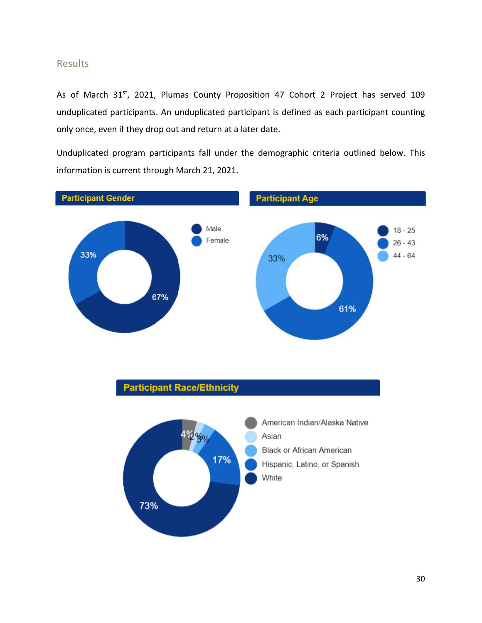#### <span id="page-30-0"></span>**Results**

As of March 31<sup>st</sup>, 2021, Plumas County Proposition 47 Cohort 2 Project has served 109 unduplicated participants. An unduplicated participant is defined as each participant counting only once, even if they drop out and return at a later date.

Unduplicated program participants fall under the demographic criteria outlined below. This information is current through March 21, 2021.





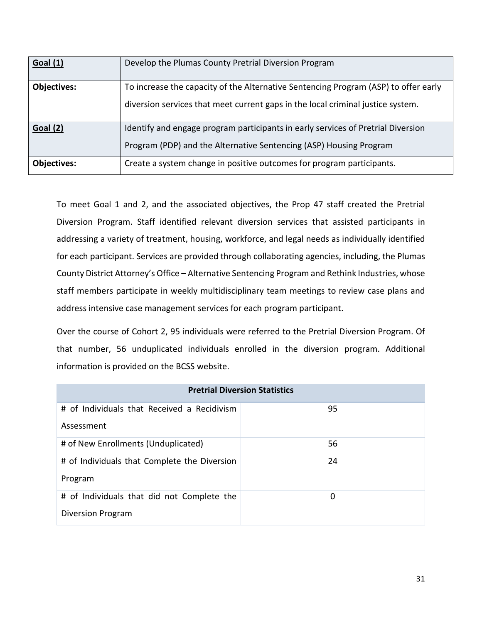| <b>Goal (1)</b>    | Develop the Plumas County Pretrial Diversion Program                                                                                                                   |
|--------------------|------------------------------------------------------------------------------------------------------------------------------------------------------------------------|
| <b>Objectives:</b> | To increase the capacity of the Alternative Sentencing Program (ASP) to offer early<br>diversion services that meet current gaps in the local criminal justice system. |
| Goal (2)           | Identify and engage program participants in early services of Pretrial Diversion<br>Program (PDP) and the Alternative Sentencing (ASP) Housing Program                 |
| <b>Objectives:</b> | Create a system change in positive outcomes for program participants.                                                                                                  |

To meet Goal 1 and 2, and the associated objectives, the Prop 47 staff created the Pretrial Diversion Program. Staff identified relevant diversion services that assisted participants in addressing a variety of treatment, housing, workforce, and legal needs as individually identified for each participant. Services are provided through collaborating agencies, including, the Plumas County District Attorney's Office – Alternative Sentencing Program and Rethink Industries, whose staff members participate in weekly multidisciplinary team meetings to review case plans and address intensive case management services for each program participant.

Over the course of Cohort 2, 95 individuals were referred to the Pretrial Diversion Program. Of that number, 56 unduplicated individuals enrolled in the diversion program. Additional information is provided on the BCSS website.

| <b>Pretrial Diversion Statistics</b>         |    |  |  |
|----------------------------------------------|----|--|--|
| # of Individuals that Received a Recidivism  | 95 |  |  |
| Assessment                                   |    |  |  |
| # of New Enrollments (Unduplicated)          | 56 |  |  |
| # of Individuals that Complete the Diversion | 24 |  |  |
| Program                                      |    |  |  |
| # of Individuals that did not Complete the   | 0  |  |  |
| <b>Diversion Program</b>                     |    |  |  |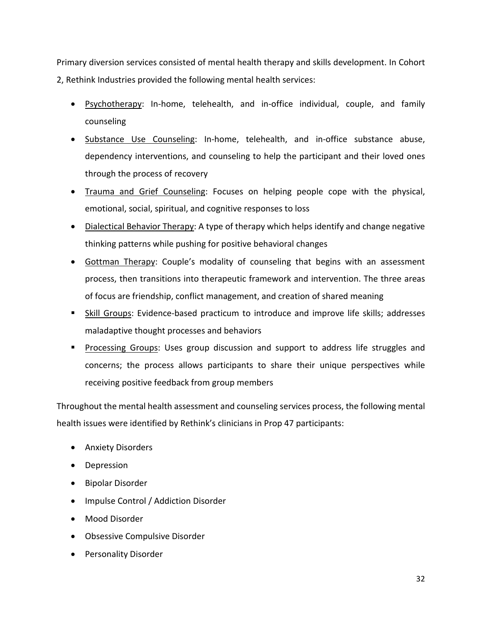Primary diversion services consisted of mental health therapy and skills development. In Cohort 2, Rethink Industries provided the following mental health services:

- Psychotherapy: In-home, telehealth, and in-office individual, couple, and family counseling
- Substance Use Counseling: In-home, telehealth, and in-office substance abuse, dependency interventions, and counseling to help the participant and their loved ones through the process of recovery
- Trauma and Grief Counseling: Focuses on helping people cope with the physical, emotional, social, spiritual, and cognitive responses to loss
- Dialectical Behavior Therapy: A type of therapy which helps identify and change negative thinking patterns while pushing for positive behavioral changes
- Gottman Therapy: Couple's modality of counseling that begins with an assessment process, then transitions into therapeutic framework and intervention. The three areas of focus are friendship, conflict management, and creation of shared meaning
- Skill Groups: Evidence-based practicum to introduce and improve life skills; addresses maladaptive thought processes and behaviors
- Processing Groups: Uses group discussion and support to address life struggles and concerns; the process allows participants to share their unique perspectives while receiving positive feedback from group members

Throughout the mental health assessment and counseling services process, the following mental health issues were identified by Rethink's clinicians in Prop 47 participants:

- Anxiety Disorders
- Depression
- Bipolar Disorder
- Impulse Control / Addiction Disorder
- Mood Disorder
- Obsessive Compulsive Disorder
- Personality Disorder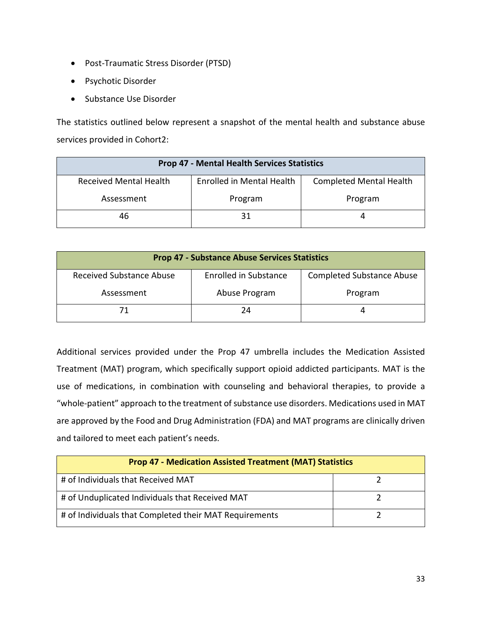- Post-Traumatic Stress Disorder (PTSD)
- Psychotic Disorder
- Substance Use Disorder

The statistics outlined below represent a snapshot of the mental health and substance abuse services provided in Cohort2:

| <b>Prop 47 - Mental Health Services Statistics</b> |                                  |                                |
|----------------------------------------------------|----------------------------------|--------------------------------|
| <b>Received Mental Health</b>                      | <b>Enrolled in Mental Health</b> | <b>Completed Mental Health</b> |
| Assessment                                         | Program                          | Program                        |
| 46                                                 | 31                               |                                |

| <b>Prop 47 - Substance Abuse Services Statistics</b> |                              |                                  |
|------------------------------------------------------|------------------------------|----------------------------------|
| <b>Received Substance Abuse</b>                      | <b>Enrolled in Substance</b> | <b>Completed Substance Abuse</b> |
| Assessment                                           | Abuse Program                | Program                          |
|                                                      | 24                           |                                  |

Additional services provided under the Prop 47 umbrella includes the Medication Assisted Treatment (MAT) program, which specifically support opioid addicted participants. MAT is the use of medications, in combination with counseling and behavioral therapies, to provide a "whole-patient" approach to the treatment of substance use disorders. Medications used in MAT are approved by the Food and Drug Administration (FDA) and MAT programs are clinically driven and tailored to meet each patient's needs.

| <b>Prop 47 - Medication Assisted Treatment (MAT) Statistics</b> |  |  |
|-----------------------------------------------------------------|--|--|
| # of Individuals that Received MAT                              |  |  |
| # of Unduplicated Individuals that Received MAT                 |  |  |
| # of Individuals that Completed their MAT Requirements          |  |  |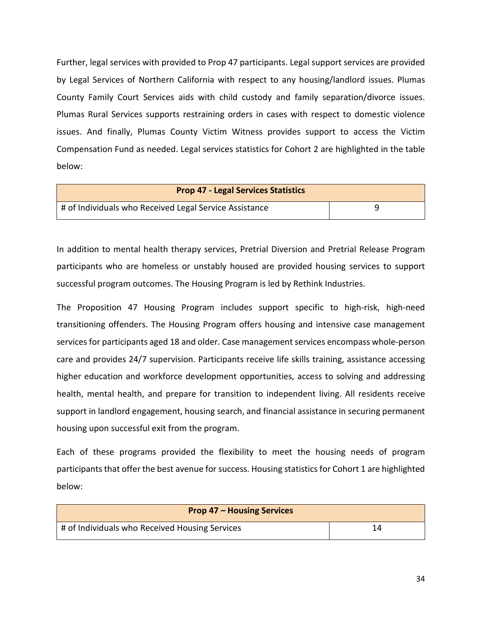Further, legal services with provided to Prop 47 participants. Legal support services are provided by Legal Services of Northern California with respect to any housing/landlord issues. Plumas County Family Court Services aids with child custody and family separation/divorce issues. Plumas Rural Services supports restraining orders in cases with respect to domestic violence issues. And finally, Plumas County Victim Witness provides support to access the Victim Compensation Fund as needed. Legal services statistics for Cohort 2 are highlighted in the table below:

| <b>Prop 47 - Legal Services Statistics</b>             |  |  |
|--------------------------------------------------------|--|--|
| # of Individuals who Received Legal Service Assistance |  |  |

In addition to mental health therapy services, Pretrial Diversion and Pretrial Release Program participants who are homeless or unstably housed are provided housing services to support successful program outcomes. The Housing Program is led by Rethink Industries.

The Proposition 47 Housing Program includes support specific to high-risk, high-need transitioning offenders. The Housing Program offers housing and intensive case management services for participants aged 18 and older. Case management services encompass whole-person care and provides 24/7 supervision. Participants receive life skills training, assistance accessing higher education and workforce development opportunities, access to solving and addressing health, mental health, and prepare for transition to independent living. All residents receive support in landlord engagement, housing search, and financial assistance in securing permanent housing upon successful exit from the program.

Each of these programs provided the flexibility to meet the housing needs of program participants that offer the best avenue for success. Housing statistics for Cohort 1 are highlighted below:

| <b>Prop 47 - Housing Services</b>              |  |
|------------------------------------------------|--|
| # of Individuals who Received Housing Services |  |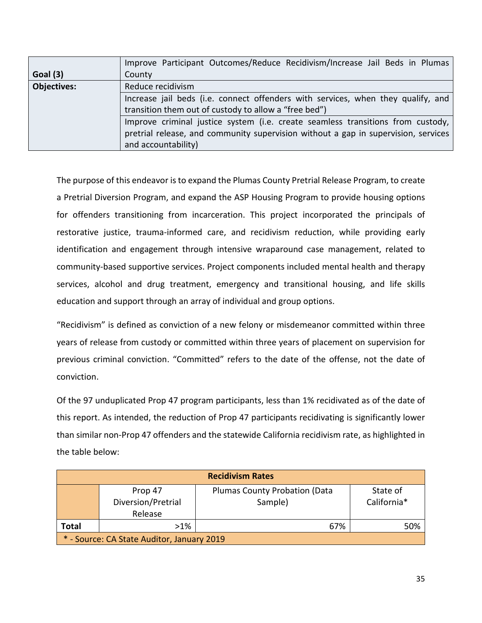|             | Improve Participant Outcomes/Reduce Recidivism/Increase Jail Beds in Plumas        |  |  |
|-------------|------------------------------------------------------------------------------------|--|--|
| Goal (3)    | County                                                                             |  |  |
| Objectives: | Reduce recidivism                                                                  |  |  |
|             | Increase jail beds (i.e. connect offenders with services, when they qualify, and   |  |  |
|             | transition them out of custody to allow a "free bed")                              |  |  |
|             | Improve criminal justice system (i.e. create seamless transitions from custody,    |  |  |
|             | pretrial release, and community supervision without a gap in supervision, services |  |  |
|             | and accountability)                                                                |  |  |

The purpose of this endeavor is to expand the Plumas County Pretrial Release Program, to create a Pretrial Diversion Program, and expand the ASP Housing Program to provide housing options for offenders transitioning from incarceration. This project incorporated the principals of restorative justice, trauma-informed care, and recidivism reduction, while providing early identification and engagement through intensive wraparound case management, related to community-based supportive services. Project components included mental health and therapy services, alcohol and drug treatment, emergency and transitional housing, and life skills education and support through an array of individual and group options.

"Recidivism" is defined as conviction of a new felony or misdemeanor committed within three years of release from custody or committed within three years of placement on supervision for previous criminal conviction. "Committed" refers to the date of the offense, not the date of conviction.

Of the 97 unduplicated Prop 47 program participants, less than 1% recidivated as of the date of this report. As intended, the reduction of Prop 47 participants recidivating is significantly lower than similar non-Prop 47 offenders and the statewide California recidivism rate, as highlighted in the table below:

| <b>Recidivism Rates</b>                    |                                          |                                                 |                         |
|--------------------------------------------|------------------------------------------|-------------------------------------------------|-------------------------|
|                                            | Prop 47<br>Diversion/Pretrial<br>Release | <b>Plumas County Probation (Data</b><br>Sample) | State of<br>California* |
| <b>Total</b>                               | $>1\%$                                   | 67%                                             | 50%                     |
| * - Source: CA State Auditor, January 2019 |                                          |                                                 |                         |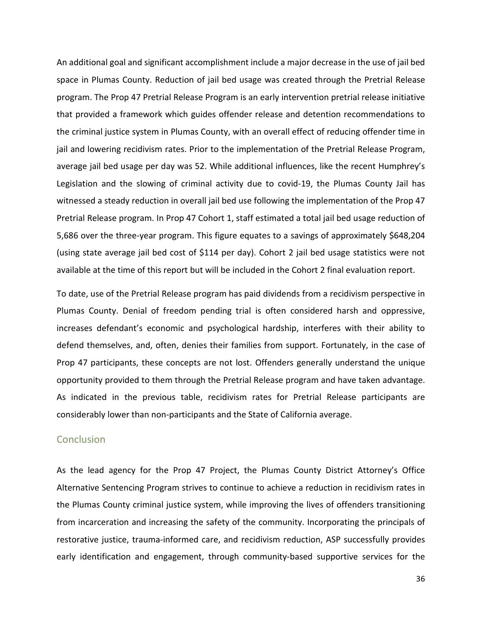An additional goal and significant accomplishment include a major decrease in the use of jail bed space in Plumas County. Reduction of jail bed usage was created through the Pretrial Release program. The Prop 47 Pretrial Release Program is an early intervention pretrial release initiative that provided a framework which guides offender release and detention recommendations to the criminal justice system in Plumas County, with an overall effect of reducing offender time in jail and lowering recidivism rates. Prior to the implementation of the Pretrial Release Program, average jail bed usage per day was 52. While additional influences, like the recent Humphrey's Legislation and the slowing of criminal activity due to covid-19, the Plumas County Jail has witnessed a steady reduction in overall jail bed use following the implementation of the Prop 47 Pretrial Release program. In Prop 47 Cohort 1, staff estimated a total jail bed usage reduction of 5,686 over the three-year program. This figure equates to a savings of approximately \$648,204 (using state average jail bed cost of \$114 per day). Cohort 2 jail bed usage statistics were not available at the time of this report but will be included in the Cohort 2 final evaluation report.

To date, use of the Pretrial Release program has paid dividends from a recidivism perspective in Plumas County. Denial of freedom pending trial is often considered harsh and oppressive, increases defendant's economic and psychological hardship, interferes with their ability to defend themselves, and, often, denies their families from support. Fortunately, in the case of Prop 47 participants, these concepts are not lost. Offenders generally understand the unique opportunity provided to them through the Pretrial Release program and have taken advantage. As indicated in the previous table, recidivism rates for Pretrial Release participants are considerably lower than non-participants and the State of California average.

#### <span id="page-36-0"></span>**Conclusion**

As the lead agency for the Prop 47 Project, the Plumas County District Attorney's Office Alternative Sentencing Program strives to continue to achieve a reduction in recidivism rates in the Plumas County criminal justice system, while improving the lives of offenders transitioning from incarceration and increasing the safety of the community. Incorporating the principals of restorative justice, trauma-informed care, and recidivism reduction, ASP successfully provides early identification and engagement, through community-based supportive services for the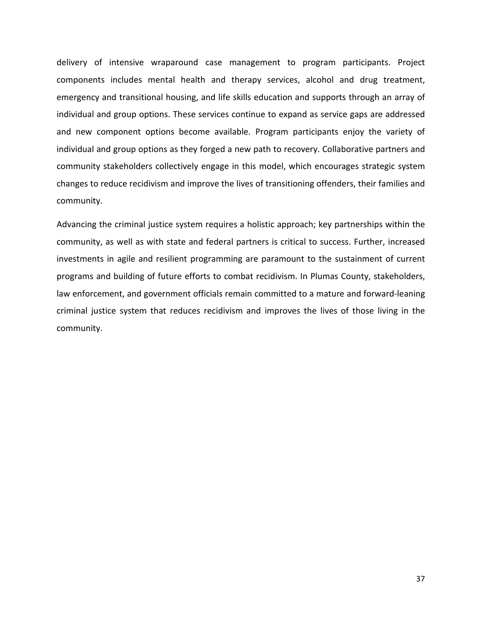delivery of intensive wraparound case management to program participants. Project components includes mental health and therapy services, alcohol and drug treatment, emergency and transitional housing, and life skills education and supports through an array of individual and group options. These services continue to expand as service gaps are addressed and new component options become available. Program participants enjoy the variety of individual and group options as they forged a new path to recovery. Collaborative partners and community stakeholders collectively engage in this model, which encourages strategic system changes to reduce recidivism and improve the lives of transitioning offenders, their families and community.

Advancing the criminal justice system requires a holistic approach; key partnerships within the community, as well as with state and federal partners is critical to success. Further, increased investments in agile and resilient programming are paramount to the sustainment of current programs and building of future efforts to combat recidivism. In Plumas County, stakeholders, law enforcement, and government officials remain committed to a mature and forward-leaning criminal justice system that reduces recidivism and improves the lives of those living in the community.